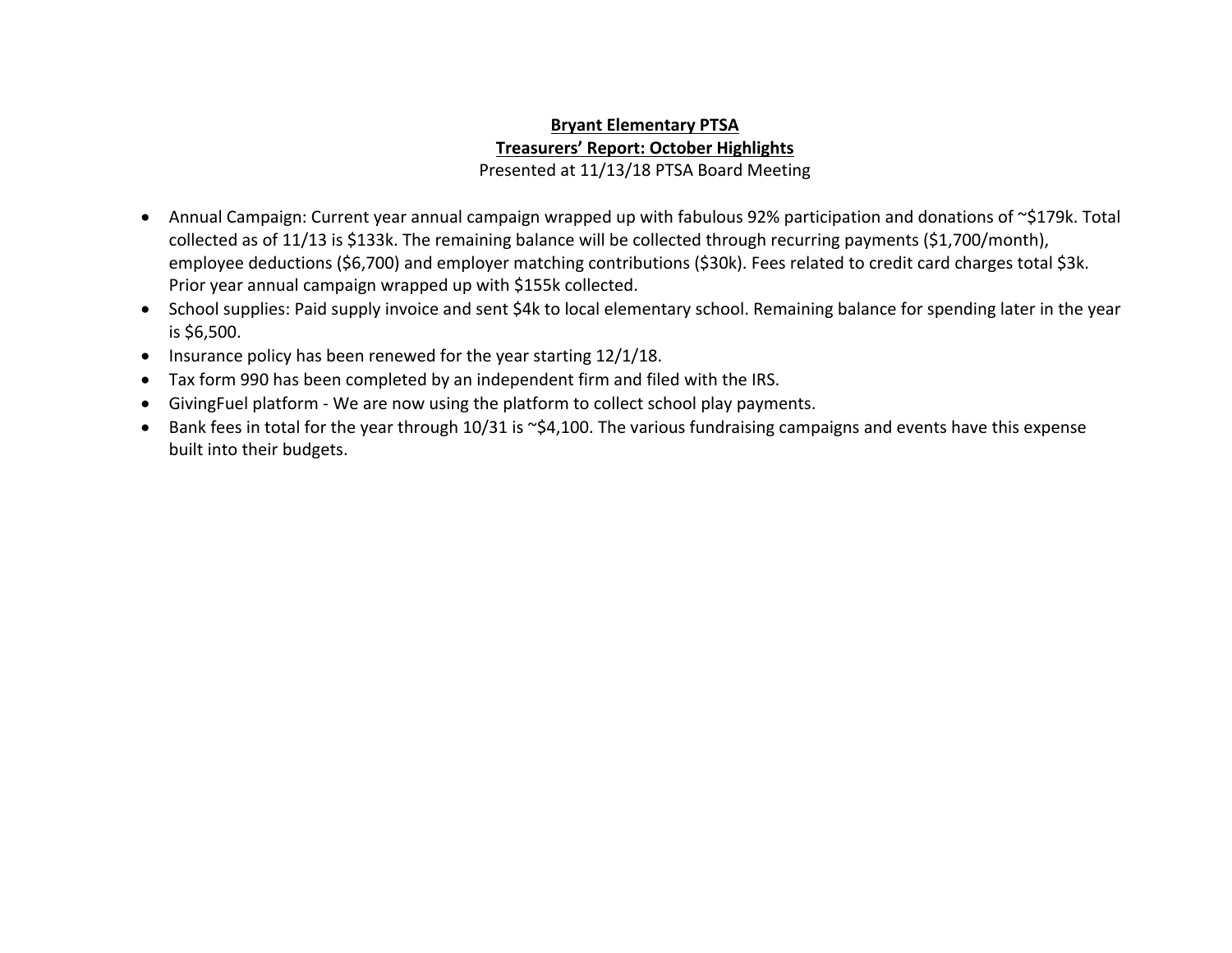## **Bryant Elementary PTSA Treasurers' Report: October Highlights** Presented at 11/13/18 PTSA Board Meeting

- Annual Campaign: Current year annual campaign wrapped up with fabulous 92% participation and donations of ~\$179k. Total collected as of 11/13 is \$133k. The remaining balance will be collected through recurring payments (\$1,700/month), employee deductions (\$6,700) and employer matching contributions (\$30k). Fees related to credit card charges total \$3k. Prior year annual campaign wrapped up with \$155k collected.
- School supplies: Paid supply invoice and sent \$4k to local elementary school. Remaining balance for spending later in the year is \$6,500.
- Insurance policy has been renewed for the year starting 12/1/18.
- Tax form 990 has been completed by an independent firm and filed with the IRS.
- GivingFuel platform We are now using the platform to collect school play payments.
- Bank fees in total for the year through 10/31 is ~\$4,100. The various fundraising campaigns and events have this expense built into their budgets.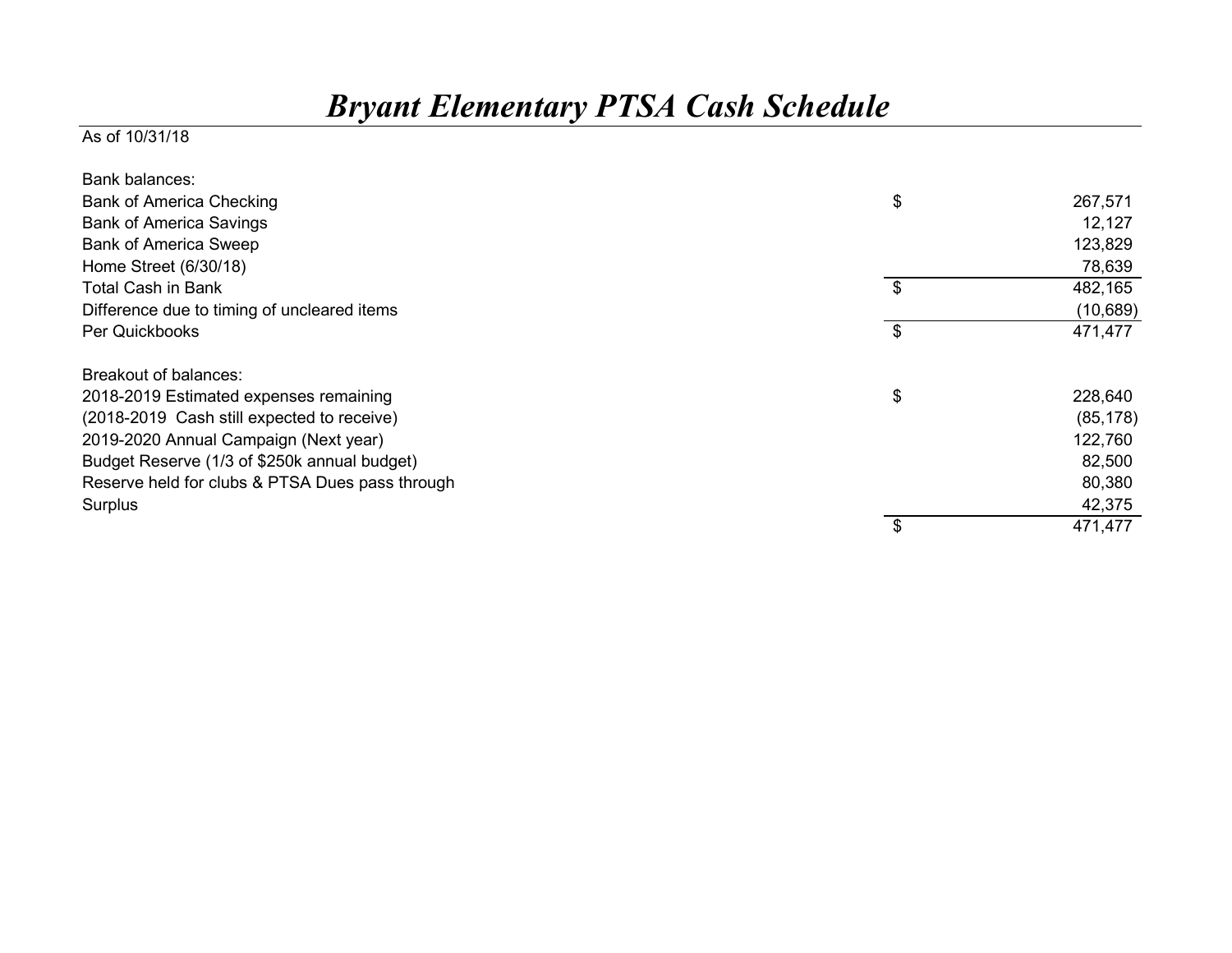## *Bryant Elementary PTSA Cash Schedule*

## As of 10/31/18

| Bank balances:                                  |               |
|-------------------------------------------------|---------------|
| <b>Bank of America Checking</b>                 | \$<br>267,571 |
| <b>Bank of America Savings</b>                  | 12,127        |
| <b>Bank of America Sweep</b>                    | 123,829       |
| Home Street (6/30/18)                           | 78,639        |
| <b>Total Cash in Bank</b>                       | \$<br>482,165 |
| Difference due to timing of uncleared items     | (10, 689)     |
| Per Quickbooks                                  | \$<br>471,477 |
| Breakout of balances:                           |               |
| 2018-2019 Estimated expenses remaining          | \$<br>228,640 |
| (2018-2019 Cash still expected to receive)      | (85, 178)     |
| 2019-2020 Annual Campaign (Next year)           | 122,760       |
| Budget Reserve (1/3 of \$250k annual budget)    | 82,500        |
| Reserve held for clubs & PTSA Dues pass through | 80,380        |
| Surplus                                         | 42,375        |
|                                                 | \$<br>471,477 |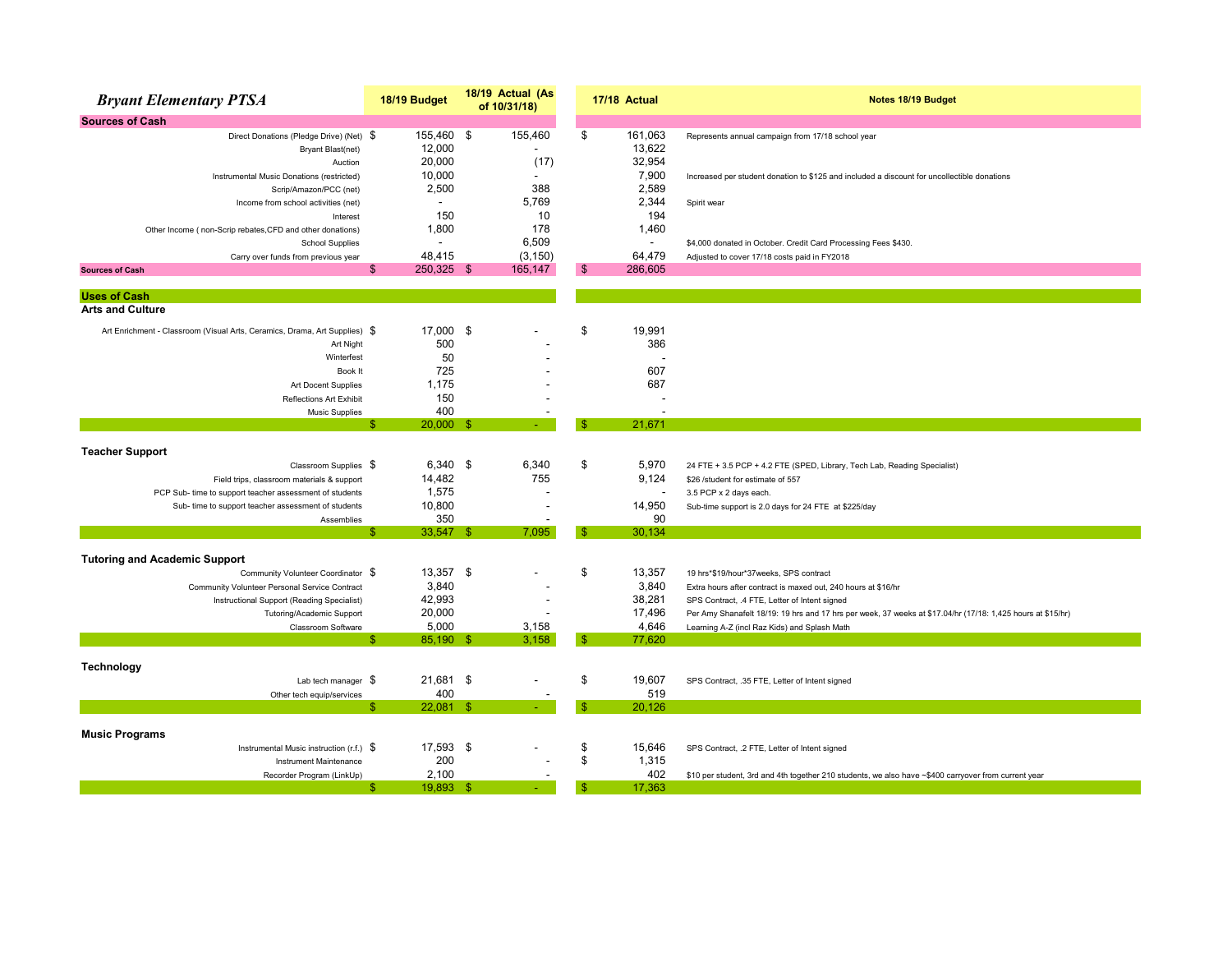| <b>Bryant Elementary PTSA</b>                                              | 18/19 Budget             | 18/19 Actual (As<br>of 10/31/18) |               | 17/18 Actual      | Notes 18/19 Budget                                                                                            |
|----------------------------------------------------------------------------|--------------------------|----------------------------------|---------------|-------------------|---------------------------------------------------------------------------------------------------------------|
| <b>Sources of Cash</b>                                                     |                          |                                  |               |                   |                                                                                                               |
| Direct Donations (Pledge Drive) (Net) \$<br><b>Bryant Blast(net)</b>       | 155,460 \$<br>12,000     | 155,460                          | \$            | 161,063<br>13,622 | Represents annual campaign from 17/18 school year                                                             |
| Auction                                                                    | 20,000                   | (17)                             |               | 32,954            |                                                                                                               |
| Instrumental Music Donations (restricted)                                  | 10,000                   |                                  |               | 7,900             | Increased per student donation to \$125 and included a discount for uncollectible donations                   |
| Scrip/Amazon/PCC (net)                                                     | 2,500                    | 388                              |               | 2,589             |                                                                                                               |
| Income from school activities (net)                                        | $\overline{\phantom{a}}$ | 5,769                            |               | 2,344             | Spirit wear                                                                                                   |
| Interest                                                                   | 150                      | 10                               |               | 194               |                                                                                                               |
| Other Income (non-Scrip rebates, CFD and other donations)                  | 1,800                    | 178                              |               | 1,460             |                                                                                                               |
| <b>School Supplies</b>                                                     |                          | 6,509                            |               |                   | \$4,000 donated in October. Credit Card Processing Fees \$430.                                                |
| Carry over funds from previous year                                        | 48,415                   | (3, 150)                         |               | 64,479            | Adjusted to cover 17/18 costs paid in FY2018                                                                  |
| <b>Sources of Cash</b>                                                     | \$<br>250,325 \$         | 165,147                          | \$            | 286,605           |                                                                                                               |
|                                                                            |                          |                                  |               |                   |                                                                                                               |
| <b>Uses of Cash</b><br><b>Arts and Culture</b>                             |                          |                                  |               |                   |                                                                                                               |
|                                                                            |                          |                                  |               |                   |                                                                                                               |
| Art Enrichment - Classroom (Visual Arts, Ceramics, Drama, Art Supplies) \$ | 17.000 \$                |                                  | \$            | 19,991            |                                                                                                               |
| Art Night                                                                  | 500                      |                                  |               | 386               |                                                                                                               |
| Winterfest                                                                 | 50                       |                                  |               |                   |                                                                                                               |
| Book It                                                                    | 725                      |                                  |               | 607               |                                                                                                               |
| Art Docent Supplies                                                        | 1.175                    |                                  |               | 687               |                                                                                                               |
| Reflections Art Exhibit                                                    | 150                      |                                  |               |                   |                                                                                                               |
| <b>Music Supplies</b>                                                      | 400                      |                                  |               |                   |                                                                                                               |
|                                                                            | $20,000$ \$<br>Я         |                                  | ß.            | 21.671            |                                                                                                               |
|                                                                            |                          |                                  |               |                   |                                                                                                               |
| <b>Teacher Support</b><br>Classroom Supplies \$                            | $6,340$ \$               | 6,340                            | \$            | 5.970             |                                                                                                               |
| Field trips, classroom materials & support                                 | 14,482                   | 755                              |               | 9,124             | 24 FTE + 3.5 PCP + 4.2 FTE (SPED, Library, Tech Lab, Reading Specialist)<br>\$26 /student for estimate of 557 |
| PCP Sub- time to support teacher assessment of students                    | 1,575                    |                                  |               |                   | 3.5 PCP x 2 days each.                                                                                        |
| Sub- time to support teacher assessment of students                        | 10,800                   |                                  |               | 14,950            | Sub-time support is 2.0 days for 24 FTE at \$225/day                                                          |
| Assemblies                                                                 | 350                      |                                  |               | 90                |                                                                                                               |
|                                                                            | $33,547$ \$<br>¢         | 7.095                            | -S            | 30.134            |                                                                                                               |
|                                                                            |                          |                                  |               |                   |                                                                                                               |
| <b>Tutoring and Academic Support</b>                                       |                          |                                  |               |                   |                                                                                                               |
| Community Volunteer Coordinator \$                                         | 13,357 \$                |                                  | \$            | 13,357            | 19 hrs*\$19/hour*37weeks, SPS contract                                                                        |
| Community Volunteer Personal Service Contract                              | 3,840                    |                                  |               | 3,840             | Extra hours after contract is maxed out, 240 hours at \$16/hr                                                 |
| Instructional Support (Reading Specialist)                                 | 42,993                   |                                  |               | 38,281            | SPS Contract, .4 FTE, Letter of Intent signed                                                                 |
| Tutoring/Academic Support                                                  | 20,000                   |                                  |               | 17,496            | Per Amy Shanafelt 18/19: 19 hrs and 17 hrs per week, 37 weeks at \$17.04/hr (17/18: 1,425 hours at \$15/hr)   |
| Classroom Software                                                         | 5,000                    | 3,158                            |               | 4.646             | Learning A-Z (incl Raz Kids) and Splash Math                                                                  |
|                                                                            | 85,190 \$<br>\$          | 3,158                            | $\mathbf{\$}$ | 77,620            |                                                                                                               |
|                                                                            |                          |                                  |               |                   |                                                                                                               |
| Technology                                                                 | 21,681 \$                |                                  | \$            | 19,607            |                                                                                                               |
| Lab tech manager $$$                                                       | 400                      |                                  |               | 519               | SPS Contract, .35 FTE, Letter of Intent signed                                                                |
| Other tech equip/services                                                  | $22,081$ \$              |                                  | ß.            | 20,126            |                                                                                                               |
|                                                                            |                          |                                  |               |                   |                                                                                                               |
| <b>Music Programs</b>                                                      |                          |                                  |               |                   |                                                                                                               |
| Instrumental Music instruction (r.f.) $\$$                                 | 17,593 \$                |                                  | \$            | 15,646            | SPS Contract, .2 FTE, Letter of Intent signed                                                                 |
| Instrument Maintenance                                                     | 200                      |                                  | \$            | 1,315             |                                                                                                               |
| Recorder Program (LinkUp)                                                  | 2,100                    |                                  |               | 402               | \$10 per student, 3rd and 4th together 210 students, we also have ~\$400 carryover from current year          |
|                                                                            | 19,893 \$<br>£.          |                                  | \$.           | 17.363            |                                                                                                               |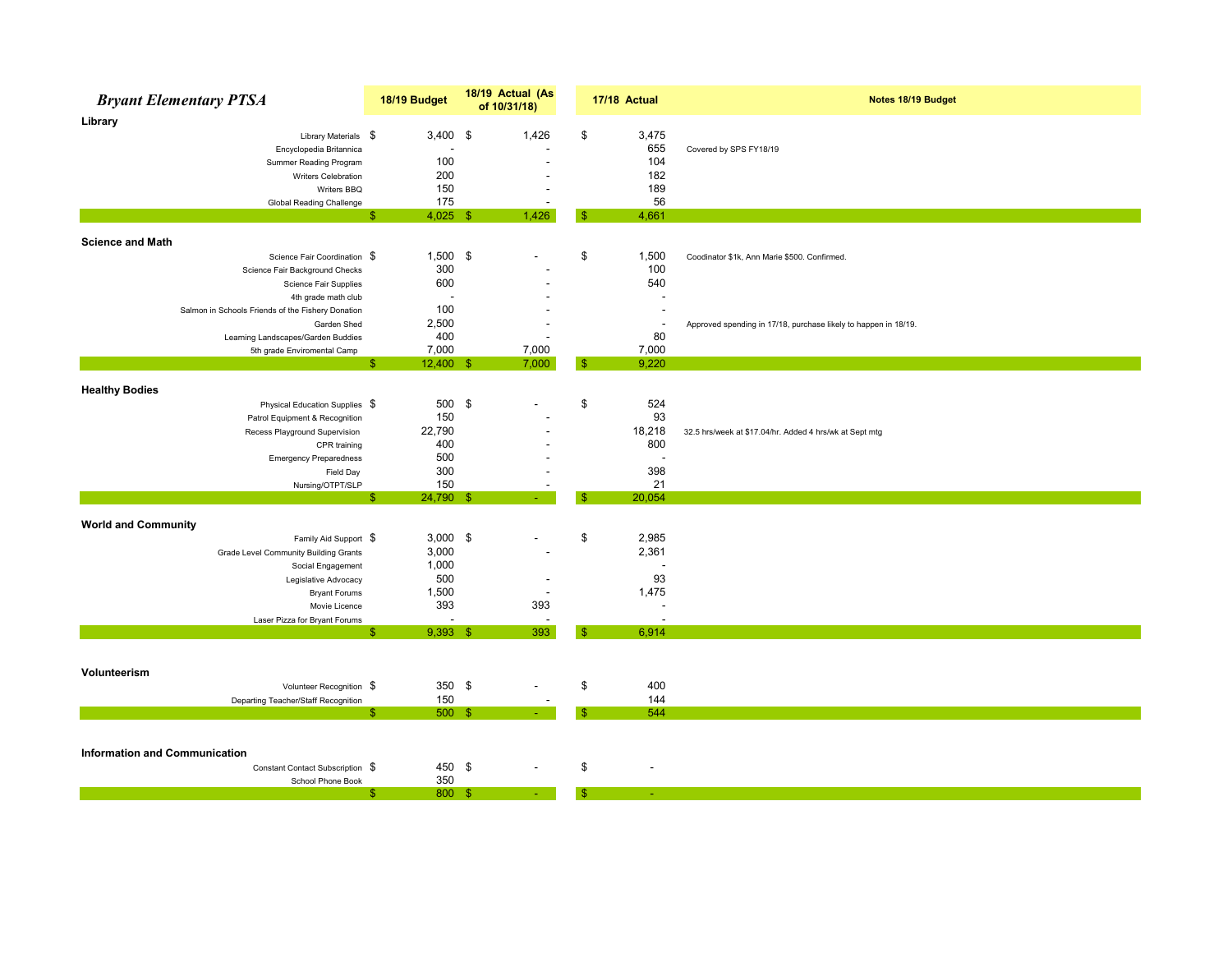| <b>Bryant Elementary PTSA</b>                     | 18/19 Budget             | 18/19 Actual (As<br>of 10/31/18) |     | 17/18 Actual             | Notes 18/19 Budget                                              |
|---------------------------------------------------|--------------------------|----------------------------------|-----|--------------------------|-----------------------------------------------------------------|
| Library                                           |                          |                                  |     |                          |                                                                 |
| Library Materials \$                              | $3,400$ \$               | 1,426                            | \$  | 3,475                    |                                                                 |
| Encyclopedia Britannica                           |                          |                                  |     | 655                      | Covered by SPS FY18/19                                          |
| Summer Reading Program                            | 100                      |                                  |     | 104                      |                                                                 |
| Writers Celebration                               | 200                      |                                  |     | 182                      |                                                                 |
| Writers BBQ                                       | 150                      |                                  |     | 189                      |                                                                 |
| Global Reading Challenge                          | 175                      |                                  |     | 56                       |                                                                 |
|                                                   | $4,025$ \$<br>ß.         | 1,426                            | -S  | 4,661                    |                                                                 |
| <b>Science and Math</b>                           |                          |                                  |     |                          |                                                                 |
| Science Fair Coordination \$                      | $1,500$ \$               |                                  | \$  | 1,500                    | Coodinator \$1k, Ann Marie \$500. Confirmed.                    |
| Science Fair Background Checks                    | 300                      |                                  |     | 100                      |                                                                 |
| Science Fair Supplies                             | 600                      |                                  |     | 540                      |                                                                 |
| 4th grade math club                               | $\overline{\phantom{a}}$ |                                  |     |                          |                                                                 |
| Salmon in Schools Friends of the Fishery Donation | 100                      |                                  |     |                          |                                                                 |
| Garden Shed                                       | 2,500                    |                                  |     | $\overline{\phantom{a}}$ | Approved spending in 17/18, purchase likely to happen in 18/19. |
| Learning Landscapes/Garden Buddies                | 400                      |                                  |     | 80                       |                                                                 |
| 5th grade Enviromental Camp                       | 7,000                    | 7,000                            |     | 7,000                    |                                                                 |
|                                                   | $12,400$ \$<br>\$.       | 7,000                            | -96 | 9,220                    |                                                                 |
|                                                   |                          |                                  |     |                          |                                                                 |
| <b>Healthy Bodies</b>                             |                          |                                  |     |                          |                                                                 |
| Physical Education Supplies \$                    | 500 \$                   |                                  | \$  | 524                      |                                                                 |
| Patrol Equipment & Recognition                    | 150                      |                                  |     | 93                       |                                                                 |
| Recess Playground Supervision                     | 22,790                   |                                  |     | 18,218                   | 32.5 hrs/week at \$17.04/hr. Added 4 hrs/wk at Sept mtg         |
| CPR training                                      | 400                      |                                  |     | 800                      |                                                                 |
| <b>Emergency Preparedness</b>                     | 500                      |                                  |     | $\overline{\phantom{a}}$ |                                                                 |
| Field Day                                         | 300                      |                                  |     | 398                      |                                                                 |
| Nursing/OTPT/SLP                                  | 150                      |                                  |     | 21                       |                                                                 |
|                                                   | 24,790 \$<br>S           |                                  | S.  | 20,054                   |                                                                 |
| <b>World and Community</b>                        |                          |                                  |     |                          |                                                                 |
| Family Aid Support \$                             | $3,000$ \$               |                                  | \$  | 2,985                    |                                                                 |
| Grade Level Community Building Grants             | 3,000                    |                                  |     | 2,361                    |                                                                 |
| Social Engagement                                 | 1,000                    |                                  |     | $\overline{\phantom{a}}$ |                                                                 |
| Legislative Advocacy                              | 500                      |                                  |     | 93                       |                                                                 |
| <b>Bryant Forums</b>                              | 1,500                    | $\overline{\phantom{a}}$         |     | 1,475                    |                                                                 |
| Movie Licence                                     | 393                      | 393                              |     | $\overline{\phantom{a}}$ |                                                                 |
| Laser Pizza for Bryant Forums                     |                          | $\overline{\phantom{a}}$         |     | $\overline{\phantom{a}}$ |                                                                 |
|                                                   | $9,393$ \$<br>ß.         | 393                              | £.  | 6,914                    |                                                                 |
|                                                   |                          |                                  |     |                          |                                                                 |
|                                                   |                          |                                  |     |                          |                                                                 |
| Volunteerism                                      |                          |                                  |     |                          |                                                                 |
| Volunteer Recognition \$                          | 350 $$$                  |                                  | \$  | 400                      |                                                                 |
| Departing Teacher/Staff Recognition               | 150                      |                                  |     | 144                      |                                                                 |
|                                                   | $500$ \$<br>Æ            |                                  |     | 544                      |                                                                 |
|                                                   |                          |                                  |     |                          |                                                                 |
| <b>Information and Communication</b>              |                          |                                  |     |                          |                                                                 |
| Constant Contact Subscription \$                  | 450 \$                   |                                  | \$  |                          |                                                                 |
| School Phone Book                                 | 350                      |                                  |     |                          |                                                                 |
|                                                   | 800 \$<br>S              |                                  | £.  |                          |                                                                 |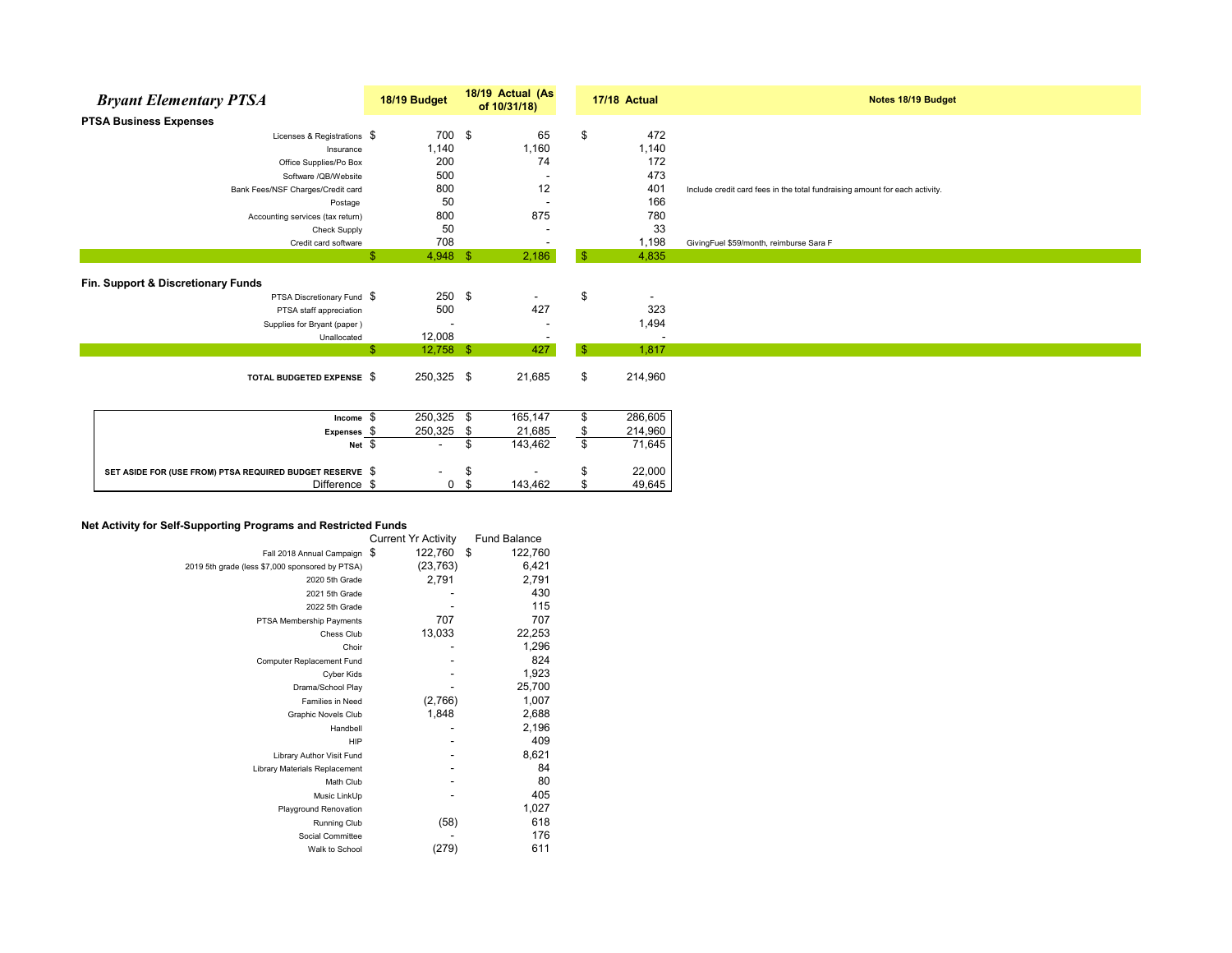| <b>Bryant Elementary PTSA</b>      | 18/19 Budget                | 18/19 Actual (As<br>of 10/31/18) | 17/18 Actual                   | Notes 18/19 Budget                                                          |
|------------------------------------|-----------------------------|----------------------------------|--------------------------------|-----------------------------------------------------------------------------|
| <b>PTSA Business Expenses</b>      |                             |                                  |                                |                                                                             |
| Licenses & Registrations $$$       | 700                         | \$<br>65                         | \$<br>472                      |                                                                             |
| Insurance                          | 1,140                       | 1,160                            | 1,140                          |                                                                             |
| Office Supplies/Po Box             | 200                         | 74                               | 172                            |                                                                             |
| Software /QB/Website               | 500                         |                                  | 473                            |                                                                             |
| Bank Fees/NSF Charges/Credit card  | 800                         | 12                               | 401                            | Include credit card fees in the total fundraising amount for each activity. |
| Postage                            | 50                          |                                  | 166                            |                                                                             |
| Accounting services (tax return)   | 800                         | 875                              | 780                            |                                                                             |
| <b>Check Supply</b>                | 50                          |                                  | 33                             |                                                                             |
| Credit card software               | 708                         |                                  | 1,198                          | GivingFuel \$59/month, reimburse Sara F                                     |
|                                    | $4,948$ \$<br>\$            | 2,186                            | $\mathbf{\$}$<br>4,835         |                                                                             |
| Fin. Support & Discretionary Funds |                             |                                  |                                |                                                                             |
| PTSA Discretionary Fund \$         | $250$ \$                    | $\overline{\phantom{a}}$         | \$<br>$\overline{\phantom{a}}$ |                                                                             |
| PTSA staff appreciation            | 500                         | 427                              | 323                            |                                                                             |
| Supplies for Bryant (paper)        |                             |                                  | 1,494                          |                                                                             |
| Unallocated                        | 12,008                      |                                  | ٠                              |                                                                             |
|                                    | $\mathbf{F}$<br>$12,758$ \$ | 427                              | $\mathbf{\$}$<br>1,817         |                                                                             |
|                                    |                             |                                  |                                |                                                                             |
| TOTAL BUDGETED EXPENSE \$          | 250,325 \$                  | 21,685                           | \$<br>214,960                  |                                                                             |
|                                    |                             |                                  |                                |                                                                             |
| Income \$                          | 250,325 \$                  | 165,147                          | 286,605                        |                                                                             |
| Expenses \$                        | 250,325 \$                  | 21,685                           | 214,960                        |                                                                             |
| Net \$                             | $\overline{\phantom{a}}$    | 143,462<br>\$                    | \$<br>71,645                   |                                                                             |

## **Net Activity for Self-Supporting Programs and Restricted Funds**

|                                                 | <b>Current Yr Activity</b> | <b>Fund Balance</b> |
|-------------------------------------------------|----------------------------|---------------------|
| Fall 2018 Annual Campaign                       | 122,760<br>\$              | \$<br>122,760       |
| 2019 5th grade (less \$7,000 sponsored by PTSA) | (23, 763)                  | 6,421               |
| 2020 5th Grade                                  | 2,791                      | 2,791               |
| 2021 5th Grade                                  |                            | 430                 |
| 2022 5th Grade                                  |                            | 115                 |
| PTSA Membership Payments                        | 707                        | 707                 |
| Chess Club                                      | 13,033                     | 22,253              |
| Choir                                           |                            | 1,296               |
| Computer Replacement Fund                       |                            | 824                 |
| Cyber Kids                                      |                            | 1,923               |
| Drama/School Play                               |                            | 25,700              |
| <b>Families in Need</b>                         | (2,766)                    | 1,007               |
| <b>Graphic Novels Club</b>                      | 1,848                      | 2,688               |
| Handbell                                        |                            | 2,196               |
| HIP                                             |                            | 409                 |
| Library Author Visit Fund                       |                            | 8,621               |
| Library Materials Replacement                   |                            | 84                  |
| Math Club                                       |                            | 80                  |
| Music LinkUp                                    |                            | 405                 |
| <b>Playground Renovation</b>                    |                            | 1,027               |
| <b>Running Club</b>                             | (58)                       | 618                 |
| Social Committee                                |                            | 176                 |
| Walk to School                                  | (279)                      | 611                 |
|                                                 |                            |                     |

**SET ASIDE FOR (USE FROM) PTSA REQUIRED BUDGET RESERVE** \$  $-$  \$  $-$  \$  $-$  \$ 22,000<br>Difference \$ 0 \$ 143,462 \$ 49,645

 $Difference  $$$$